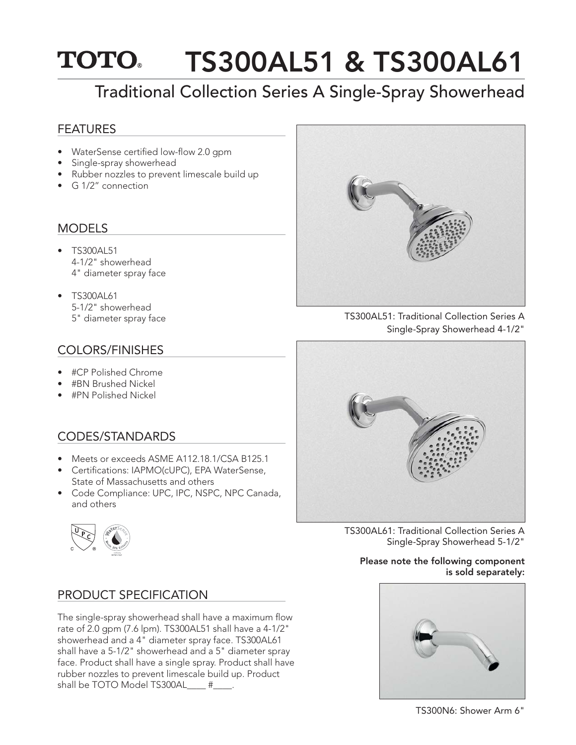## **TOTO.** TS300AL51 & TS300AL61

# Traditional Collection Series A Single-Spray Showerhead

### FEATURES

- WaterSense certified low-flow 2.0 gpm
- Single-spray showerhead
- Rubber nozzles to prevent limescale build up
- G 1/2" connection

## MODELS

- TS300AL51 4-1/2" showerhead 4" diameter spray face
- TS300AL61 5-1/2" showerhead

## COLORS/FINISHES

- #CP Polished Chrome
- #BN Brushed Nickel
- #PN Polished Nickel

## CODES/STANDARDS

- Meets or exceeds ASME A112.18.1/CSA B125.1
- Certifications: IAPMO(cUPC), EPA WaterSense, State of Massachusetts and others
- Code Compliance: UPC, IPC, NSPC, NPC Canada, and others



### PRODUCT SPECIFICATION

The single-spray showerhead shall have a maximum flow rate of 2.0 gpm (7.6 lpm). TS300AL51 shall have a 4-1/2" showerhead and a 4" diameter spray face. TS300AL61 shall have a 5-1/2" showerhead and a 5" diameter spray face. Product shall have a single spray. Product shall have rubber nozzles to prevent limescale build up. Product shall be TOTO Model TS300AL\_\_\_\_ #\_\_\_\_.



5" diameter spray face TS300AL51: Traditional Collection Series A Single-Spray Showerhead 4-1/2"



TS300AL61: Traditional Collection Series A Single-Spray Showerhead 5-1/2"

#### Please note the following component is sold separately: